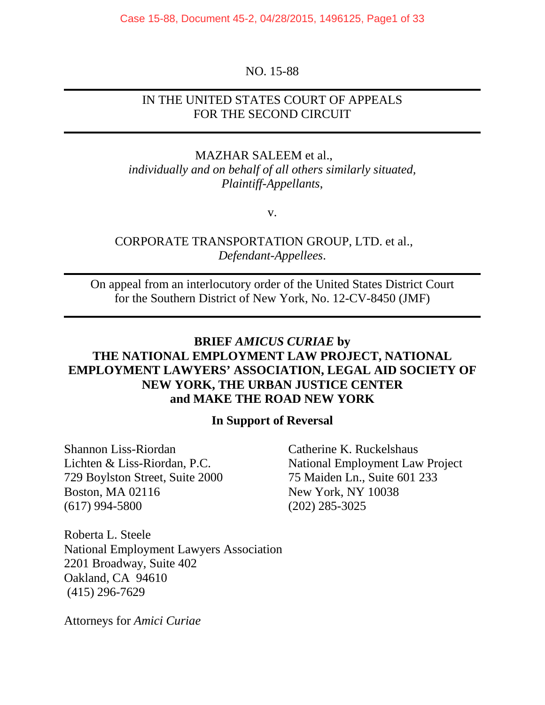Case 15-88, Document 45-2, 04/28/2015, 1496125, Page1 of 33

#### NO. 15-88

## IN THE UNITED STATES COURT OF APPEALS FOR THE SECOND CIRCUIT

MAZHAR SALEEM et al., *individually and on behalf of all others similarly situated, Plaintiff-Appellants*,

v.

## CORPORATE TRANSPORTATION GROUP, LTD. et al., *Defendant-Appellees*.

On appeal from an interlocutory order of the United States District Court for the Southern District of New York, No. 12-CV-8450 (JMF)

# **BRIEF** *AMICUS CURIAE* **by THE NATIONAL EMPLOYMENT LAW PROJECT, NATIONAL EMPLOYMENT LAWYERS' ASSOCIATION, LEGAL AID SOCIETY OF NEW YORK, THE URBAN JUSTICE CENTER and MAKE THE ROAD NEW YORK**

#### **In Support of Reversal**

Shannon Liss-Riordan Catherine K. Ruckelshaus 729 Boylston Street, Suite 2000 75 Maiden Ln., Suite 601 233 Boston, MA 02116 New York, NY 10038 (617) 994-5800 (202) 285-3025

Lichten & Liss-Riordan, P.C. National Employment Law Project

Roberta L. Steele National Employment Lawyers Association 2201 Broadway, Suite 402 Oakland, CA 94610 (415) 296-7629

Attorneys for *Amici Curiae*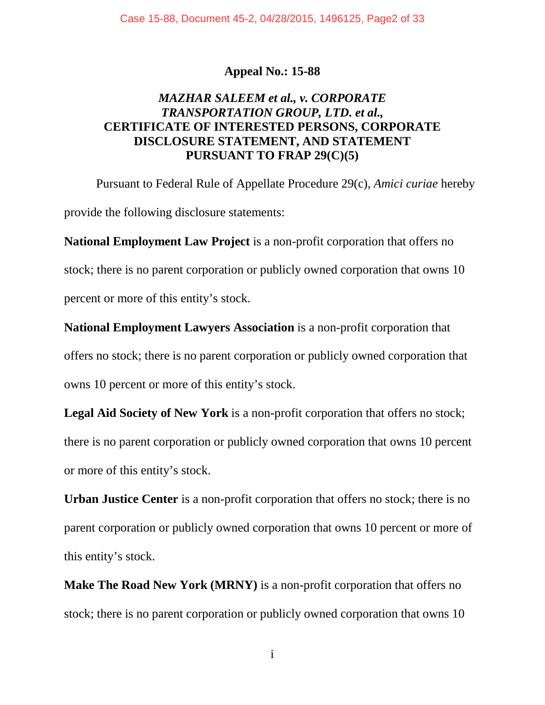## **Appeal No.: 15-88**

# *MAZHAR SALEEM et al., v. CORPORATE TRANSPORTATION GROUP, LTD. et al.,* **CERTIFICATE OF INTERESTED PERSONS, CORPORATE DISCLOSURE STATEMENT, AND STATEMENT PURSUANT TO FRAP 29(C)(5)**

Pursuant to Federal Rule of Appellate Procedure 29(c), *Amici curiae* hereby provide the following disclosure statements:

**National Employment Law Project** is a non-profit corporation that offers no stock; there is no parent corporation or publicly owned corporation that owns 10 percent or more of this entity's stock.

**National Employment Lawyers Association** is a non-profit corporation that offers no stock; there is no parent corporation or publicly owned corporation that owns 10 percent or more of this entity's stock.

Legal Aid Society of New York is a non-profit corporation that offers no stock; there is no parent corporation or publicly owned corporation that owns 10 percent or more of this entity's stock.

**Urban Justice Center** is a non-profit corporation that offers no stock; there is no parent corporation or publicly owned corporation that owns 10 percent or more of this entity's stock.

**Make The Road New York (MRNY)** is a non-profit corporation that offers no stock; there is no parent corporation or publicly owned corporation that owns 10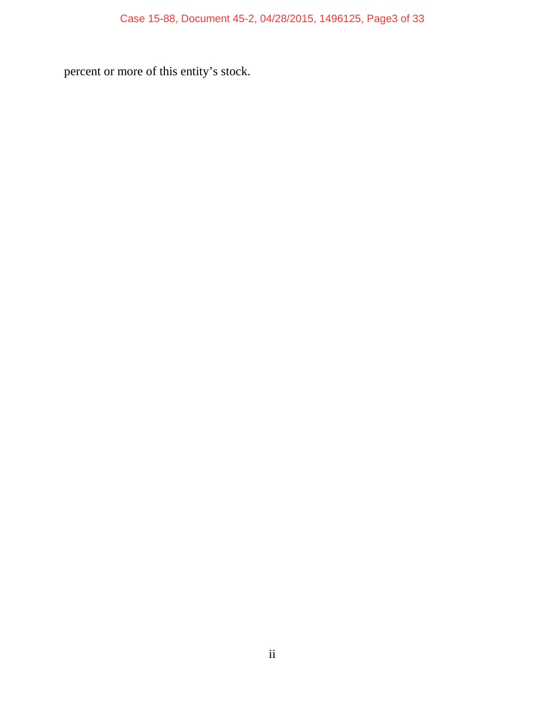percent or more of this entity's stock.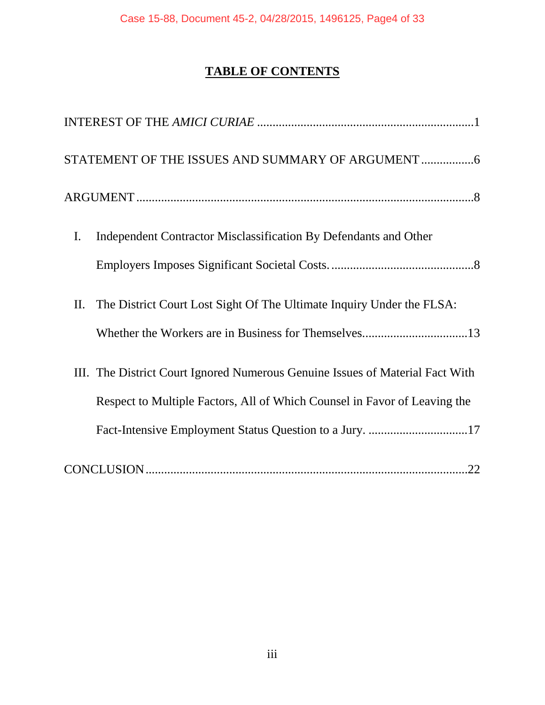# **TABLE OF CONTENTS**

| STATEMENT OF THE ISSUES AND SUMMARY OF ARGUMENT  6                            |
|-------------------------------------------------------------------------------|
|                                                                               |
| Independent Contractor Misclassification By Defendants and Other<br>I.        |
|                                                                               |
| The District Court Lost Sight Of The Ultimate Inquiry Under the FLSA:<br>Π.   |
|                                                                               |
| III. The District Court Ignored Numerous Genuine Issues of Material Fact With |
| Respect to Multiple Factors, All of Which Counsel in Favor of Leaving the     |
|                                                                               |
|                                                                               |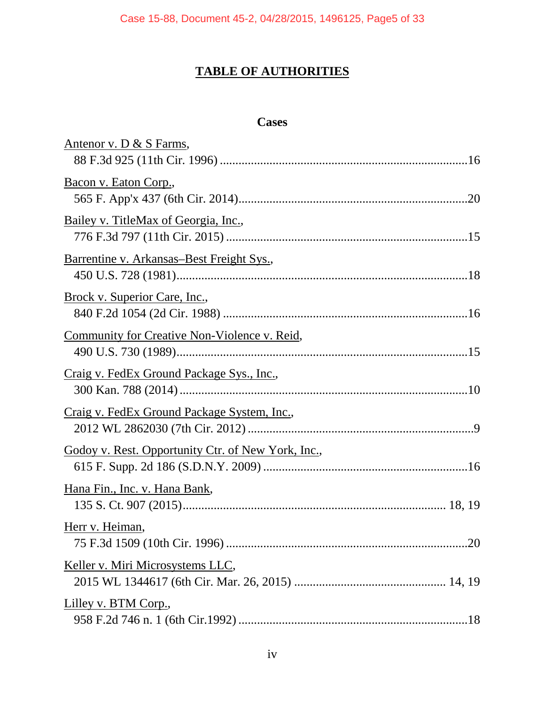# **TABLE OF AUTHORITIES**

### **Cases**

| Antenor v. D & S Farms,                            |
|----------------------------------------------------|
| Bacon v. Eaton Corp.,                              |
| Bailey v. TitleMax of Georgia, Inc.,               |
| Barrentine v. Arkansas–Best Freight Sys.,          |
| Brock v. Superior Care, Inc.,                      |
| Community for Creative Non-Violence v. Reid,       |
| Craig v. FedEx Ground Package Sys., Inc.,          |
| Craig v. FedEx Ground Package System, Inc.,        |
| Godoy v. Rest. Opportunity Ctr. of New York, Inc., |
| Hana Fin., Inc. v. Hana Bank,                      |
| Herr v. Heiman,                                    |
| Keller v. Miri Microsystems LLC,                   |
| Lilley v. BTM Corp.,                               |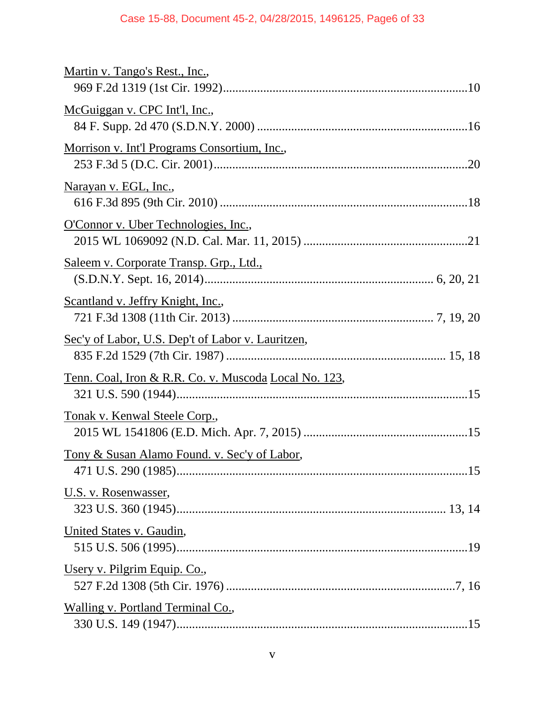# Case 15-88, Document 45-2, 04/28/2015, 1496125, Page6 of 33

| Martin v. Tango's Rest., Inc.,                        |
|-------------------------------------------------------|
| McGuiggan v. CPC Int'l, Inc.,                         |
| Morrison v. Int'l Programs Consortium, Inc.,          |
| <u>Narayan v. EGL, Inc.</u> ,                         |
| O'Connor v. Uber Technologies, Inc.,                  |
| <u>Saleem v. Corporate Transp. Grp., Ltd.,</u>        |
| Scantland v. Jeffry Knight, Inc.,                     |
| Sec'y of Labor, U.S. Dep't of Labor v. Lauritzen,     |
| Tenn. Coal, Iron & R.R. Co. v. Muscoda Local No. 123, |
| <u>Tonak v. Kenwal Steele Corp.</u> ,                 |
| Tony & Susan Alamo Found. v. Sec'y of Labor,          |
| U.S. v. Rosenwasser,                                  |
| United States v. Gaudin,                              |
| Usery v. Pilgrim Equip. Co.,                          |
| Walling v. Portland Terminal Co.,                     |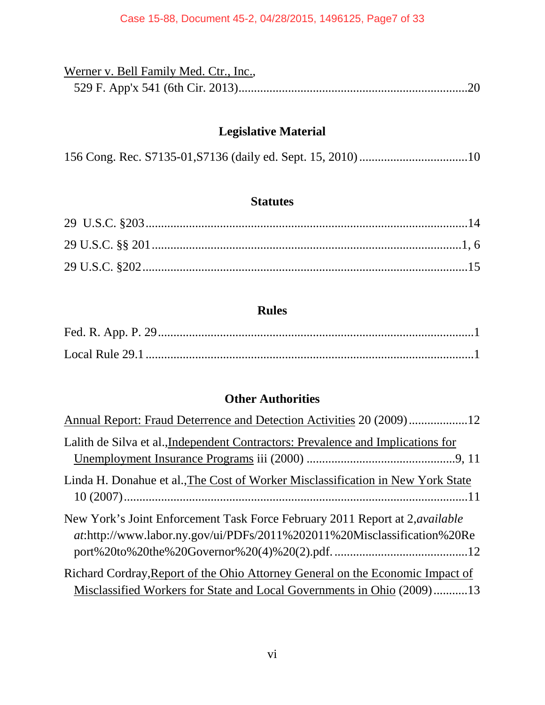| Werner v. Bell Family Med. Ctr., Inc., |  |
|----------------------------------------|--|
|                                        |  |

# **Legislative Material**

|--|--|--|--|--|

# **Statutes**

# **Rules**

# **Other Authorities**

| Annual Report: Fraud Deterrence and Detection Activities 20 (2009)12                                                                                           |
|----------------------------------------------------------------------------------------------------------------------------------------------------------------|
| Lalith de Silva et al., Independent Contractors: Prevalence and Implications for                                                                               |
| Linda H. Donahue et al., The Cost of Worker Misclassification in New York State                                                                                |
| New York's Joint Enforcement Task Force February 2011 Report at 2, <i>available</i><br>at:http://www.labor.ny.gov/ui/PDFs/2011%202011%20Misclassification%20Re |
| Richard Cordray, Report of the Ohio Attorney General on the Economic Impact of<br>Misclassified Workers for State and Local Governments in Ohio (2009)13       |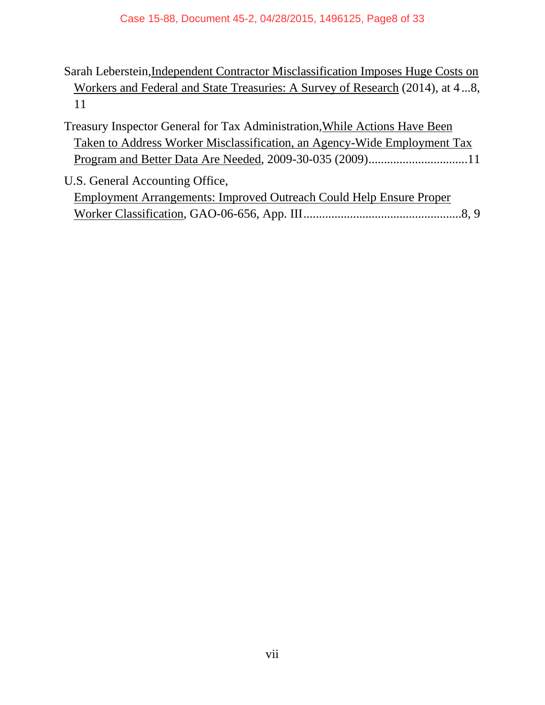- Sarah Leberstein,Independent Contractor Misclassification Imposes Huge Costs on Workers and Federal and State Treasuries: A Survey of Research (2014), at 4...8, 11
- Treasury Inspector General for Tax Administration,While Actions Have Been Taken to Address Worker Misclassification, an Agency-Wide Employment Tax Program and Better Data Are Needed, 2009-30-035 (2009)................................11
- U.S. General Accounting Office, Employment Arrangements: Improved Outreach Could Help Ensure Proper Worker Classification, GAO-06-656, App. III...................................................8, 9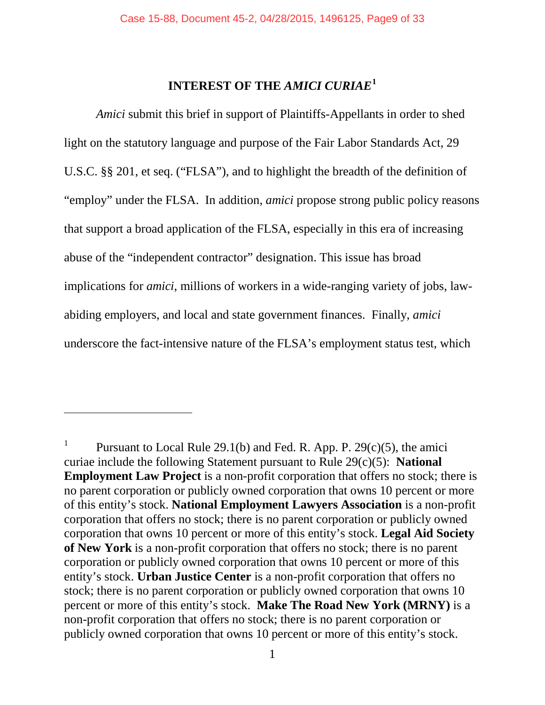# **INTEREST OF THE** *AMICI CURIAE***[1](#page-8-1)**

<span id="page-8-0"></span>*Amici* submit this brief in support of Plaintiffs-Appellants in order to shed light on the statutory language and purpose of the Fair Labor Standards Act, 29 U.S.C. §§ 201, et seq. ("FLSA"), and to highlight the breadth of the definition of "employ" under the FLSA. In addition, *amici* propose strong public policy reasons that support a broad application of the FLSA, especially in this era of increasing abuse of the "independent contractor" designation. This issue has broad implications for *amici*, millions of workers in a wide-ranging variety of jobs, lawabiding employers, and local and state government finances. Finally, *amici* underscore the fact-intensive nature of the FLSA's employment status test, which

 $\overline{\phantom{a}}$ 

<span id="page-8-1"></span><sup>1</sup> Pursuant to Local Rule 29.1(b) and Fed. R. App. P. 29(c)(5), the amici curiae include the following Statement pursuant to Rule 29(c)(5): **National Employment Law Project** is a non-profit corporation that offers no stock; there is no parent corporation or publicly owned corporation that owns 10 percent or more of this entity's stock. **National Employment Lawyers Association** is a non-profit corporation that offers no stock; there is no parent corporation or publicly owned corporation that owns 10 percent or more of this entity's stock. **Legal Aid Society of New York** is a non-profit corporation that offers no stock; there is no parent corporation or publicly owned corporation that owns 10 percent or more of this entity's stock. **Urban Justice Center** is a non-profit corporation that offers no stock; there is no parent corporation or publicly owned corporation that owns 10 percent or more of this entity's stock. **Make The Road New York (MRNY)** is a non-profit corporation that offers no stock; there is no parent corporation or publicly owned corporation that owns 10 percent or more of this entity's stock.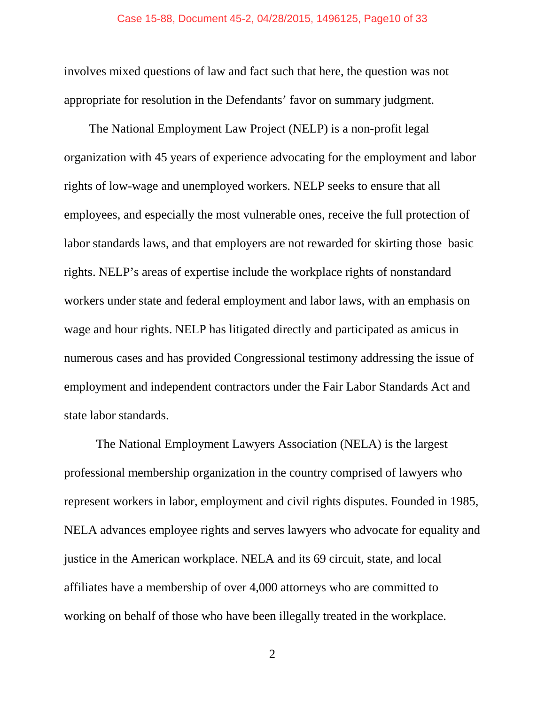involves mixed questions of law and fact such that here, the question was not appropriate for resolution in the Defendants' favor on summary judgment.

The National Employment Law Project (NELP) is a non-profit legal organization with 45 years of experience advocating for the employment and labor rights of low-wage and unemployed workers. NELP seeks to ensure that all employees, and especially the most vulnerable ones, receive the full protection of labor standards laws, and that employers are not rewarded for skirting those basic rights. NELP's areas of expertise include the workplace rights of nonstandard workers under state and federal employment and labor laws, with an emphasis on wage and hour rights. NELP has litigated directly and participated as amicus in numerous cases and has provided Congressional testimony addressing the issue of employment and independent contractors under the Fair Labor Standards Act and state labor standards.

The National Employment Lawyers Association (NELA) is the largest professional membership organization in the country comprised of lawyers who represent workers in labor, employment and civil rights disputes. Founded in 1985, NELA advances employee rights and serves lawyers who advocate for equality and justice in the American workplace. NELA and its 69 circuit, state, and local affiliates have a membership of over 4,000 attorneys who are committed to working on behalf of those who have been illegally treated in the workplace.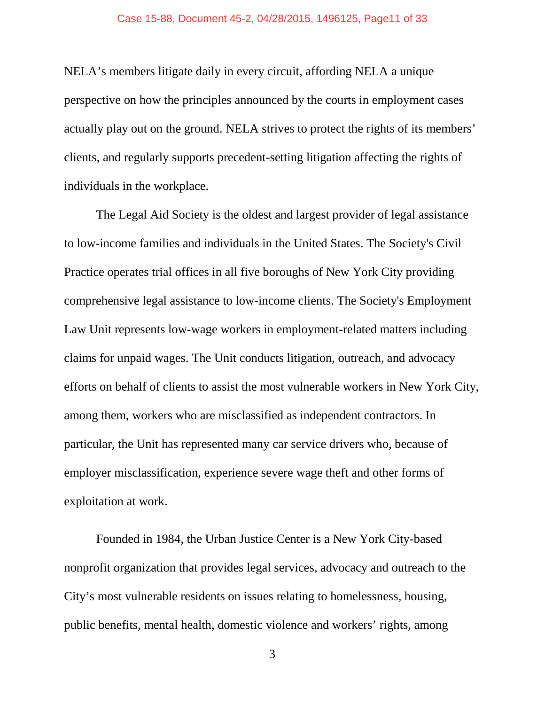NELA's members litigate daily in every circuit, affording NELA a unique perspective on how the principles announced by the courts in employment cases actually play out on the ground. NELA strives to protect the rights of its members' clients, and regularly supports precedent-setting litigation affecting the rights of individuals in the workplace.

The Legal Aid Society is the oldest and largest provider of legal assistance to low-income families and individuals in the United States. The Society's Civil Practice operates trial offices in all five boroughs of New York City providing comprehensive legal assistance to low-income clients. The Society's Employment Law Unit represents low-wage workers in employment-related matters including claims for unpaid wages. The Unit conducts litigation, outreach, and advocacy efforts on behalf of clients to assist the most vulnerable workers in New York City, among them, workers who are misclassified as independent contractors. In particular, the Unit has represented many car service drivers who, because of employer misclassification, experience severe wage theft and other forms of exploitation at work.

Founded in 1984, the Urban Justice Center is a New York City-based nonprofit organization that provides legal services, advocacy and outreach to the City's most vulnerable residents on issues relating to homelessness, housing, public benefits, mental health, domestic violence and workers' rights, among

<sup>3</sup>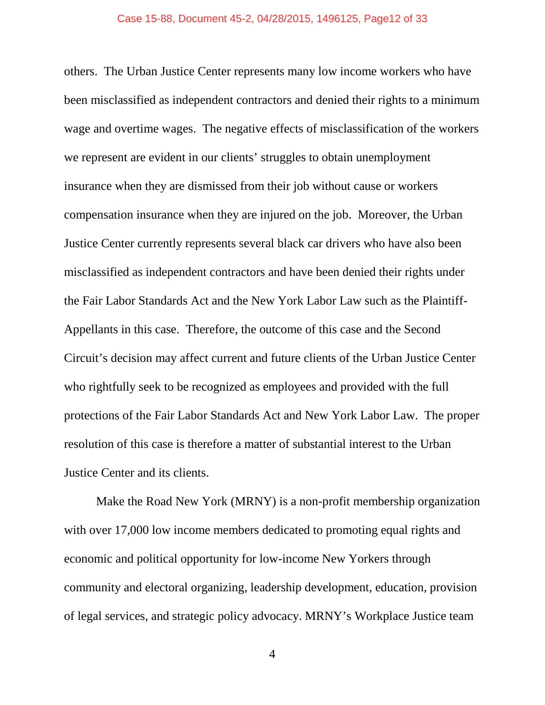others. The Urban Justice Center represents many low income workers who have been misclassified as independent contractors and denied their rights to a minimum wage and overtime wages. The negative effects of misclassification of the workers we represent are evident in our clients' struggles to obtain unemployment insurance when they are dismissed from their job without cause or workers compensation insurance when they are injured on the job. Moreover, the Urban Justice Center currently represents several black car drivers who have also been misclassified as independent contractors and have been denied their rights under the Fair Labor Standards Act and the New York Labor Law such as the Plaintiff-Appellants in this case. Therefore, the outcome of this case and the Second Circuit's decision may affect current and future clients of the Urban Justice Center who rightfully seek to be recognized as employees and provided with the full protections of the Fair Labor Standards Act and New York Labor Law. The proper resolution of this case is therefore a matter of substantial interest to the Urban Justice Center and its clients.

Make the Road New York (MRNY) is a non-profit membership organization with over 17,000 low income members dedicated to promoting equal rights and economic and political opportunity for low-income New Yorkers through community and electoral organizing, leadership development, education, provision of legal services, and strategic policy advocacy. MRNY's Workplace Justice team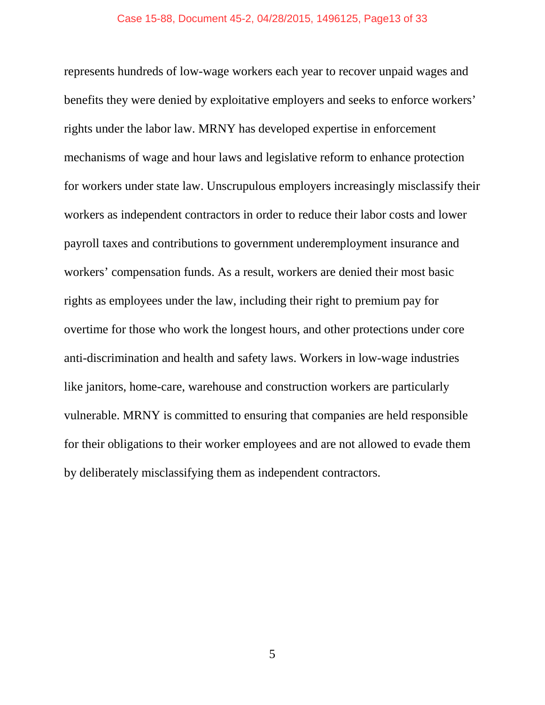represents hundreds of low-wage workers each year to recover unpaid wages and benefits they were denied by exploitative employers and seeks to enforce workers' rights under the labor law. MRNY has developed expertise in enforcement mechanisms of wage and hour laws and legislative reform to enhance protection for workers under state law. Unscrupulous employers increasingly misclassify their workers as independent contractors in order to reduce their labor costs and lower payroll taxes and contributions to government underemployment insurance and workers' compensation funds. As a result, workers are denied their most basic rights as employees under the law, including their right to premium pay for overtime for those who work the longest hours, and other protections under core anti-discrimination and health and safety laws. Workers in low-wage industries like janitors, home-care, warehouse and construction workers are particularly vulnerable. MRNY is committed to ensuring that companies are held responsible for their obligations to their worker employees and are not allowed to evade them by deliberately misclassifying them as independent contractors.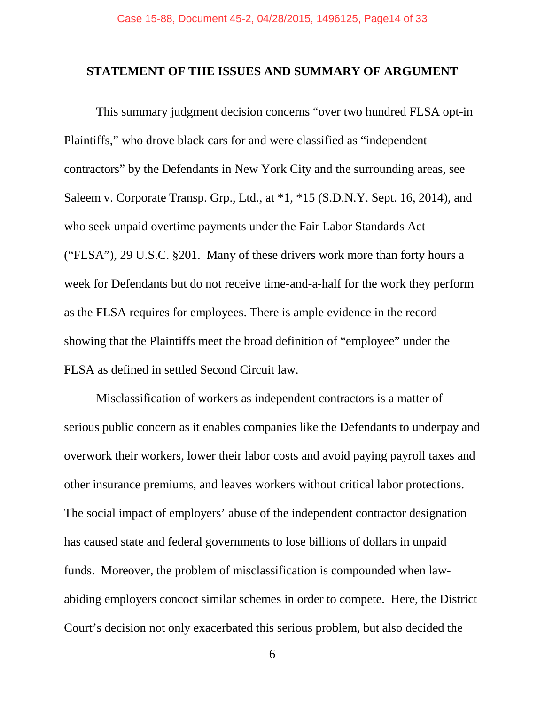#### <span id="page-13-0"></span>**STATEMENT OF THE ISSUES AND SUMMARY OF ARGUMENT**

This summary judgment decision concerns "over two hundred FLSA opt-in Plaintiffs," who drove black cars for and were classified as "independent contractors" by the Defendants in New York City and the surrounding areas, see Saleem v. Corporate Transp. Grp., Ltd., at  $*1$ ,  $*15$  (S.D.N.Y. Sept. 16, 2014), and who seek unpaid overtime payments under the Fair Labor Standards Act ("FLSA"), 29 U.S.C. §201. Many of these drivers work more than forty hours a week for Defendants but do not receive time-and-a-half for the work they perform as the FLSA requires for employees. There is ample evidence in the record showing that the Plaintiffs meet the broad definition of "employee" under the FLSA as defined in settled Second Circuit law.

Misclassification of workers as independent contractors is a matter of serious public concern as it enables companies like the Defendants to underpay and overwork their workers, lower their labor costs and avoid paying payroll taxes and other insurance premiums, and leaves workers without critical labor protections. The social impact of employers' abuse of the independent contractor designation has caused state and federal governments to lose billions of dollars in unpaid funds. Moreover, the problem of misclassification is compounded when lawabiding employers concoct similar schemes in order to compete. Here, the District Court's decision not only exacerbated this serious problem, but also decided the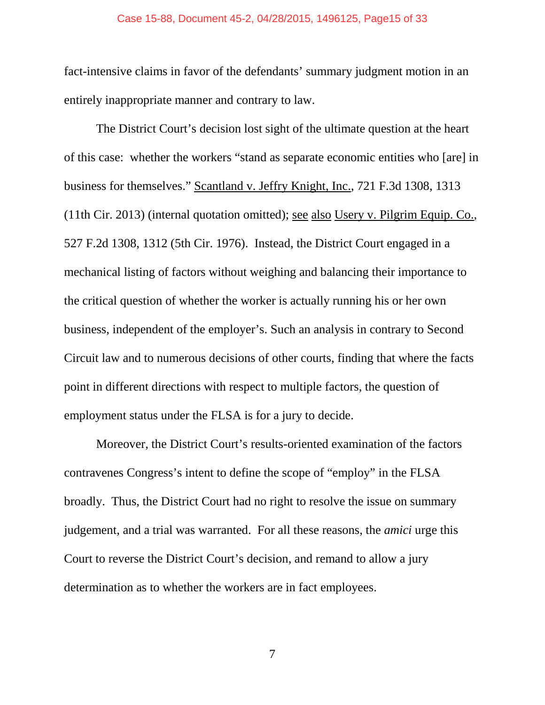#### Case 15-88, Document 45-2, 04/28/2015, 1496125, Page15 of 33

fact-intensive claims in favor of the defendants' summary judgment motion in an entirely inappropriate manner and contrary to law.

The District Court's decision lost sight of the ultimate question at the heart of this case: whether the workers "stand as separate economic entities who [are] in business for themselves." Scantland v. Jeffry Knight, Inc., 721 F.3d 1308, 1313 (11th Cir. 2013) (internal quotation omitted); see also Usery v. Pilgrim Equip. Co., 527 F.2d 1308, 1312 (5th Cir. 1976). Instead, the District Court engaged in a mechanical listing of factors without weighing and balancing their importance to the critical question of whether the worker is actually running his or her own business, independent of the employer's. Such an analysis in contrary to Second Circuit law and to numerous decisions of other courts, finding that where the facts point in different directions with respect to multiple factors, the question of employment status under the FLSA is for a jury to decide.

Moreover, the District Court's results-oriented examination of the factors contravenes Congress's intent to define the scope of "employ" in the FLSA broadly. Thus, the District Court had no right to resolve the issue on summary judgement, and a trial was warranted. For all these reasons, the *amici* urge this Court to reverse the District Court's decision, and remand to allow a jury determination as to whether the workers are in fact employees.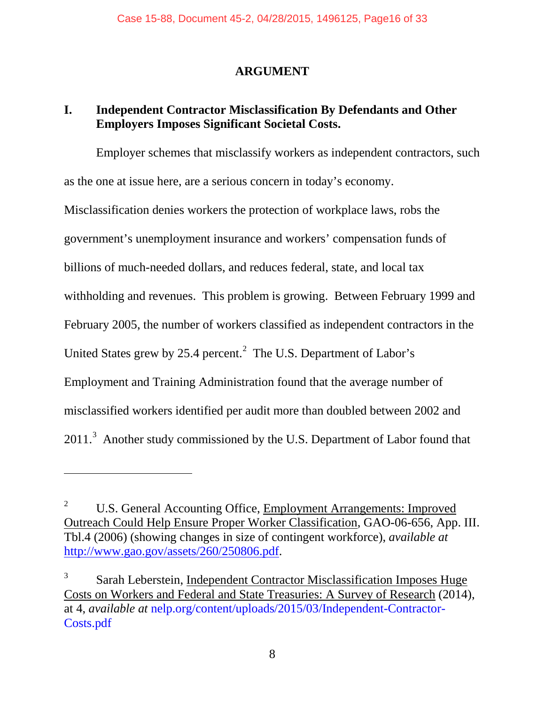# **ARGUMENT**

# <span id="page-15-1"></span><span id="page-15-0"></span>**I. Independent Contractor Misclassification By Defendants and Other Employers Imposes Significant Societal Costs.**

Employer schemes that misclassify workers as independent contractors, such as the one at issue here, are a serious concern in today's economy. Misclassification denies workers the protection of workplace laws, robs the government's unemployment insurance and workers' compensation funds of billions of much-needed dollars, and reduces federal, state, and local tax withholding and revenues. This problem is growing. Between February 1999 and February 2005, the number of workers classified as independent contractors in the United States grew by [2](#page-15-2)5.4 percent.<sup>2</sup> The U.S. Department of Labor's Employment and Training Administration found that the average number of misclassified workers identified per audit more than doubled between 2002 and  $2011$ .<sup>[3](#page-15-3)</sup> Another study commissioned by the U.S. Department of Labor found that

<span id="page-15-2"></span><sup>&</sup>lt;sup>2</sup> U.S. General Accounting Office, Employment Arrangements: Improved Outreach Could Help Ensure Proper Worker Classification, GAO-06-656, App. III. Tbl.4 (2006) (showing changes in size of contingent workforce), *available at*  [http://www.gao.gov/assets/260/250806.pdf.](http://www.gao.gov/assets/260/250806.pdf)

<span id="page-15-3"></span><sup>3</sup> Sarah Leberstein, Independent Contractor Misclassification Imposes Huge Costs on Workers and Federal and State Treasuries: A Survey of Research (2014), at 4, *available at* nelp.org/content/uploads/2015/03/Independent-Contractor-Costs.pdf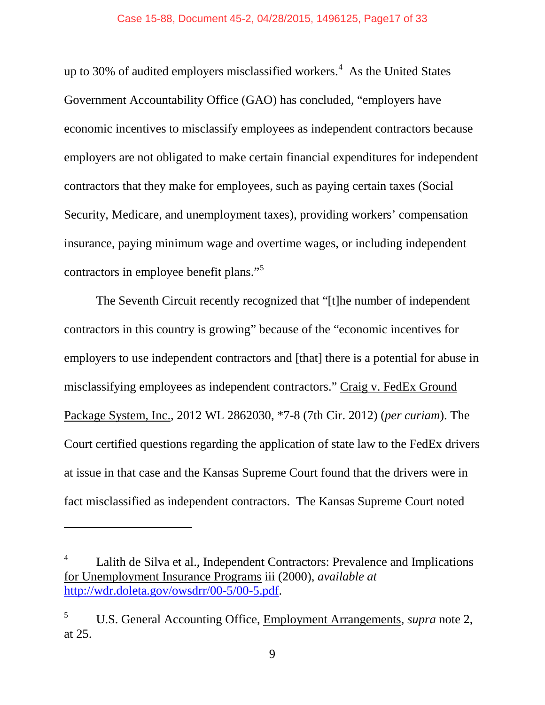up to 30% of audited employers misclassified workers.<sup>[4](#page-16-0)</sup> As the United States Government Accountability Office (GAO) has concluded, "employers have economic incentives to misclassify employees as independent contractors because employers are not obligated to make certain financial expenditures for independent contractors that they make for employees, such as paying certain taxes (Social Security, Medicare, and unemployment taxes), providing workers' compensation insurance, paying minimum wage and overtime wages, or including independent contractors in employee benefit plans."[5](#page-16-1)

The Seventh Circuit recently recognized that "[t]he number of independent contractors in this country is growing" because of the "economic incentives for employers to use independent contractors and [that] there is a potential for abuse in misclassifying employees as independent contractors." Craig v. FedEx Ground Package System, Inc., 2012 WL 2862030, \*7-8 (7th Cir. 2012) (*per curiam*). The Court certified questions regarding the application of state law to the FedEx drivers at issue in that case and the Kansas Supreme Court found that the drivers were in fact misclassified as independent contractors. The Kansas Supreme Court noted

<span id="page-16-0"></span>Lalith de Silva et al., Independent Contractors: Prevalence and Implications for Unemployment Insurance Programs iii (2000), *available at*  [http://wdr.doleta.gov/owsdrr/00-5/00-5.pdf.](http://wdr.doleta.gov/owsdrr/00-5/00-5.pdf)

<span id="page-16-1"></span><sup>5</sup> U.S. General Accounting Office, Employment Arrangements, *supra* note 2, at 25.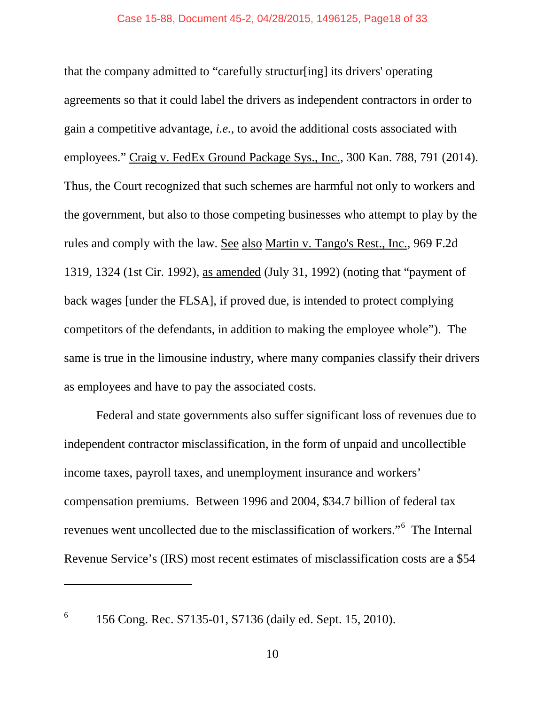that the company admitted to "carefully structur[ing] its drivers' operating agreements so that it could label the drivers as independent contractors in order to gain a competitive advantage, *i.e.,* to avoid the additional costs associated with employees." Craig v. FedEx Ground Package Sys., Inc., 300 Kan. 788, 791 (2014). Thus, the Court recognized that such schemes are harmful not only to workers and the government, but also to those competing businesses who attempt to play by the rules and comply with the law. See also Martin v. Tango's Rest., Inc., 969 F.2d 1319, 1324 (1st Cir. 1992), as amended (July 31, 1992) (noting that "payment of back wages [under the FLSA], if proved due, is intended to protect complying competitors of the defendants, in addition to making the employee whole"). The same is true in the limousine industry, where many companies classify their drivers as employees and have to pay the associated costs.

Federal and state governments also suffer significant loss of revenues due to independent contractor misclassification, in the form of unpaid and uncollectible income taxes, payroll taxes, and unemployment insurance and workers' compensation premiums. Between 1996 and 2004, \$34.7 billion of federal tax revenues went uncollected due to the misclassification of workers."[6](#page-17-0) The Internal Revenue Service's (IRS) most recent estimates of misclassification costs are a \$54

<span id="page-17-0"></span>

 $^{6}$  156 Cong. Rec. S7135-01, S7136 (daily ed. Sept. 15, 2010).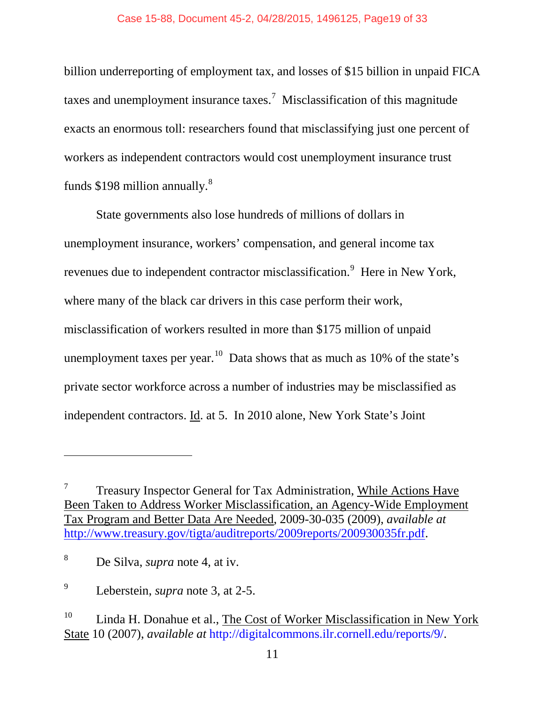billion underreporting of employment tax, and losses of \$15 billion in unpaid FICA taxes and unemployment insurance taxes.<sup>[7](#page-18-0)</sup> Misclassification of this magnitude exacts an enormous toll: researchers found that misclassifying just one percent of workers as independent contractors would cost unemployment insurance trust funds \$19[8](#page-18-1) million annually.<sup>8</sup>

State governments also lose hundreds of millions of dollars in unemployment insurance, workers' compensation, and general income tax revenues due to independent contractor misclassification.<sup>[9](#page-18-2)</sup> Here in New York, where many of the black car drivers in this case perform their work, misclassification of workers resulted in more than \$175 million of unpaid unemployment taxes per year.<sup>[10](#page-18-3)</sup> Data shows that as much as  $10\%$  of the state's private sector workforce across a number of industries may be misclassified as independent contractors. Id. at 5. In 2010 alone, New York State's Joint

 $\overline{\phantom{a}}$ 

<span id="page-18-0"></span> $7$  Treasury Inspector General for Tax Administration, While Actions Have Been Taken to Address Worker Misclassification, an Agency-Wide Employment Tax Program and Better Data Are Needed, 2009-30-035 (2009), *available at*  [http://www.treasury.gov/tigta/auditreports/2009reports/200930035fr.pdf.](http://www.treasury.gov/tigta/auditreports/2009reports/200930035fr.pdf)

<span id="page-18-1"></span><sup>8</sup> De Silva, *supra* note 4, at iv.

<span id="page-18-2"></span><sup>9</sup> Leberstein, *supra* note 3, at 2-5.

<span id="page-18-3"></span> $10$  Linda H. Donahue et al., The Cost of Worker Misclassification in New York State 10 (2007), *available at* http://digitalcommons.ilr.cornell.edu/reports/9/.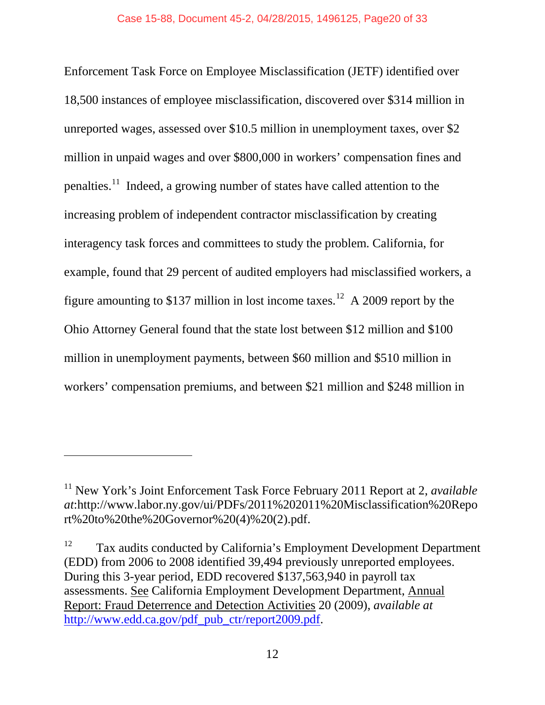Enforcement Task Force on Employee Misclassification (JETF) identified over 18,500 instances of employee misclassification, discovered over \$314 million in unreported wages, assessed over \$10.5 million in unemployment taxes, over \$2 million in unpaid wages and over \$800,000 in workers' compensation fines and penalties.[11](#page-19-0) Indeed, a growing number of states have called attention to the increasing problem of independent contractor misclassification by creating interagency task forces and committees to study the problem. California, for example, found that 29 percent of audited employers had misclassified workers, a figure amounting to \$137 million in lost income taxes.<sup>[12](#page-19-1)</sup> A 2009 report by the Ohio Attorney General found that the state lost between \$12 million and \$100 million in unemployment payments, between \$60 million and \$510 million in workers' compensation premiums, and between \$21 million and \$248 million in

 $\overline{\phantom{a}}$ 

<span id="page-19-0"></span><sup>&</sup>lt;sup>11</sup> New York's Joint Enforcement Task Force February 2011 Report at 2, *available at*:http://www.labor.ny.gov/ui/PDFs/2011%202011%20Misclassification%20Repo rt%20to%20the%20Governor%20(4)%20(2).pdf.

<span id="page-19-1"></span><sup>&</sup>lt;sup>12</sup> Tax audits conducted by California's Employment Development Department (EDD) from 2006 to 2008 identified 39,494 previously unreported employees. During this 3-year period, EDD recovered \$137,563,940 in payroll tax assessments. See California Employment Development Department, Annual Report: Fraud Deterrence and Detection Activities 20 (2009), *available at*  [http://www.edd.ca.gov/pdf\\_pub\\_ctr/report2009.pdf.](http://www.edd.ca.gov/pdf_pub_ctr/report2009.pdf)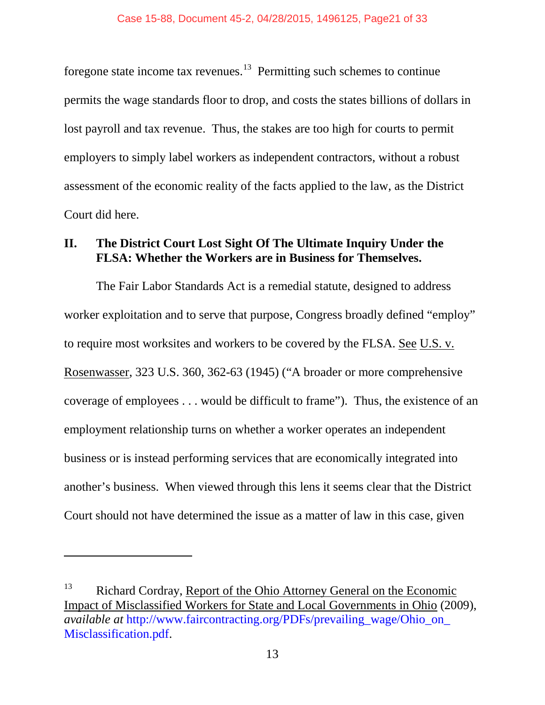foregone state income tax revenues.<sup>13</sup> Permitting such schemes to continue permits the wage standards floor to drop, and costs the states billions of dollars in lost payroll and tax revenue. Thus, the stakes are too high for courts to permit employers to simply label workers as independent contractors, without a robust assessment of the economic reality of the facts applied to the law, as the District Court did here.

## <span id="page-20-0"></span>**II. The District Court Lost Sight Of The Ultimate Inquiry Under the FLSA: Whether the Workers are in Business for Themselves.**

The Fair Labor Standards Act is a remedial statute, designed to address worker exploitation and to serve that purpose, Congress broadly defined "employ" to require most worksites and workers to be covered by the FLSA. See U.S. v. Rosenwasser, 323 U.S. 360, 362-63 (1945) ("A broader or more comprehensive coverage of employees . . . would be difficult to frame"). Thus, the existence of an employment relationship turns on whether a worker operates an independent business or is instead performing services that are economically integrated into another's business. When viewed through this lens it seems clear that the District Court should not have determined the issue as a matter of law in this case, given

<span id="page-20-1"></span><sup>&</sup>lt;sup>13</sup> Richard Cordray, Report of the Ohio Attorney General on the Economic Impact of Misclassified Workers for State and Local Governments in Ohio (2009), *available at* http://www.faircontracting.org/PDFs/prevailing\_wage/Ohio\_on\_ Misclassification.pdf.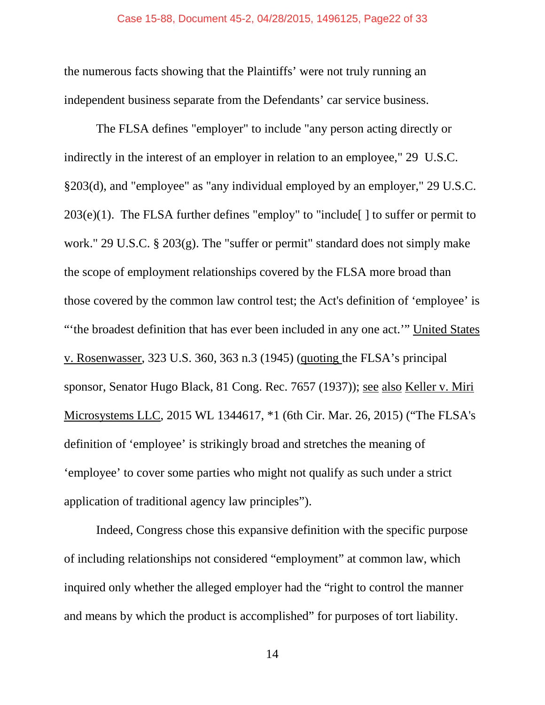the numerous facts showing that the Plaintiffs' were not truly running an independent business separate from the Defendants' car service business.

The FLSA defines "employer" to include "any person acting directly or indirectly in the interest of an employer in relation to an employee," 29 U.S.C. §203(d), and "employee" as "any individual employed by an employer," 29 U.S.C.  $203(e)(1)$ . The FLSA further defines "employ" to "include [] to suffer or permit to work." 29 U.S.C. § 203(g). The "suffer or permit" standard does not simply make the scope of employment relationships covered by the FLSA more broad than those covered by the common law control test; the Act's definition of 'employee' is "'the broadest definition that has ever been included in any one act.'" United States v. Rosenwasser, 323 U.S. 360, 363 n.3 (1945) (quoting the FLSA's principal sponsor, Senator Hugo Black, 81 Cong. Rec. 7657 (1937)); see also Keller v. Miri Microsystems LLC, 2015 WL 1344617, \*1 (6th Cir. Mar. 26, 2015) ("The FLSA's definition of 'employee' is strikingly broad and stretches the meaning of 'employee' to cover some parties who might not qualify as such under a strict application of traditional agency law principles").

Indeed, Congress chose this expansive definition with the specific purpose of including relationships not considered "employment" at common law, which inquired only whether the alleged employer had the "right to control the manner and means by which the product is accomplished" for purposes of tort liability.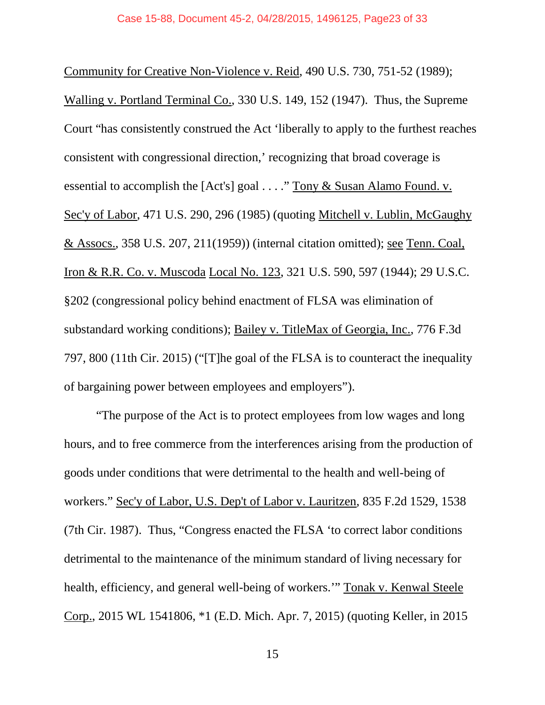Community for Creative Non-Violence v. Reid, 490 U.S. 730, 751-52 (1989); Walling v. Portland Terminal Co., 330 U.S. 149, 152 (1947). Thus, the Supreme Court "has consistently construed the Act 'liberally to apply to the furthest reaches consistent with congressional direction,' recognizing that broad coverage is essential to accomplish the [Act's] goal . . . ." Tony & Susan Alamo Found. v. Sec'y of Labor, 471 U.S. 290, 296 (1985) (quoting Mitchell v. Lublin, McGaughy & Assocs., 358 U.S. 207, 211(1959)) (internal citation omitted); see Tenn. Coal, Iron & R.R. Co. v. Muscoda Local No. 123, 321 U.S. 590, 597 (1944); 29 U.S.C. §202 (congressional policy behind enactment of FLSA was elimination of substandard working conditions); Bailey v. TitleMax of Georgia, Inc., 776 F.3d 797, 800 (11th Cir. 2015) ("[T]he goal of the FLSA is to counteract the inequality of bargaining power between employees and employers").

"The purpose of the Act is to protect employees from low wages and long hours, and to free commerce from the interferences arising from the production of goods under conditions that were detrimental to the health and well-being of workers." Sec'y of Labor, U.S. Dep't of Labor v. Lauritzen, 835 F.2d 1529, 1538 (7th Cir. 1987). Thus, "Congress enacted the FLSA 'to correct labor conditions detrimental to the maintenance of the minimum standard of living necessary for health, efficiency, and general well-being of workers.'" Tonak v. Kenwal Steele Corp., 2015 WL 1541806, \*1 (E.D. Mich. Apr. 7, 2015) (quoting Keller, in 2015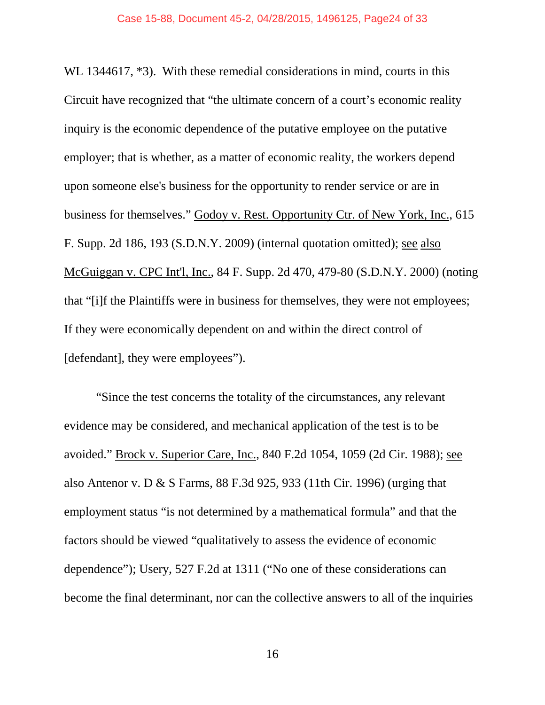WL 1344617,  $*3$ ). With these remedial considerations in mind, courts in this Circuit have recognized that "the ultimate concern of a court's economic reality inquiry is the economic dependence of the putative employee on the putative employer; that is whether, as a matter of economic reality, the workers depend upon someone else's business for the opportunity to render service or are in business for themselves." Godoy v. Rest. Opportunity Ctr. of New York, Inc., 615 F. Supp. 2d 186, 193 (S.D.N.Y. 2009) (internal quotation omitted); see also McGuiggan v. CPC Int'l, Inc., 84 F. Supp. 2d 470, 479-80 (S.D.N.Y. 2000) (noting that "[i]f the Plaintiffs were in business for themselves, they were not employees; If they were economically dependent on and within the direct control of [defendant], they were employees").

"Since the test concerns the totality of the circumstances, any relevant evidence may be considered, and mechanical application of the test is to be avoided." Brock v. Superior Care, Inc., 840 F.2d 1054, 1059 (2d Cir. 1988); see also Antenor v. D & S Farms, 88 F.3d 925, 933 (11th Cir. 1996) (urging that employment status "is not determined by a mathematical formula" and that the factors should be viewed "qualitatively to assess the evidence of economic dependence"); Usery, 527 F.2d at 1311 ("No one of these considerations can become the final determinant, nor can the collective answers to all of the inquiries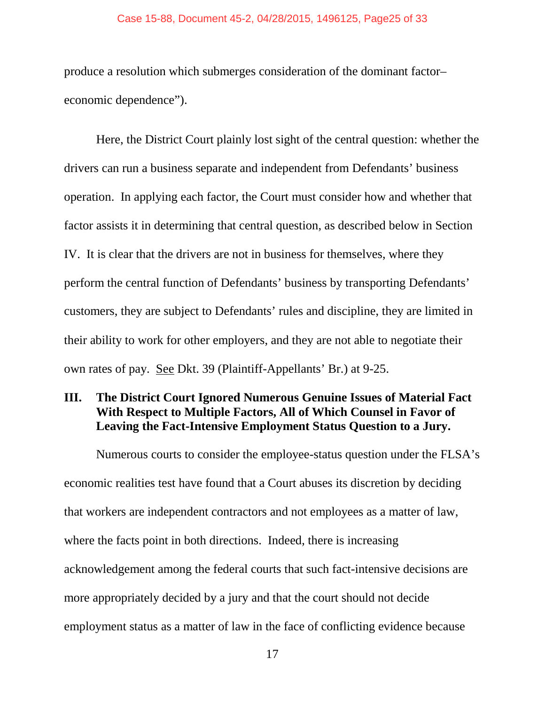#### Case 15-88, Document 45-2, 04/28/2015, 1496125, Page25 of 33

produce a resolution which submerges consideration of the dominant factor– economic dependence").

Here, the District Court plainly lost sight of the central question: whether the drivers can run a business separate and independent from Defendants' business operation. In applying each factor, the Court must consider how and whether that factor assists it in determining that central question, as described below in Section IV. It is clear that the drivers are not in business for themselves, where they perform the central function of Defendants' business by transporting Defendants' customers, they are subject to Defendants' rules and discipline, they are limited in their ability to work for other employers, and they are not able to negotiate their own rates of pay. See Dkt. 39 (Plaintiff-Appellants' Br.) at 9-25.

# <span id="page-24-0"></span>**III. The District Court Ignored Numerous Genuine Issues of Material Fact With Respect to Multiple Factors, All of Which Counsel in Favor of Leaving the Fact-Intensive Employment Status Question to a Jury.**

Numerous courts to consider the employee-status question under the FLSA's economic realities test have found that a Court abuses its discretion by deciding that workers are independent contractors and not employees as a matter of law, where the facts point in both directions. Indeed, there is increasing acknowledgement among the federal courts that such fact-intensive decisions are more appropriately decided by a jury and that the court should not decide employment status as a matter of law in the face of conflicting evidence because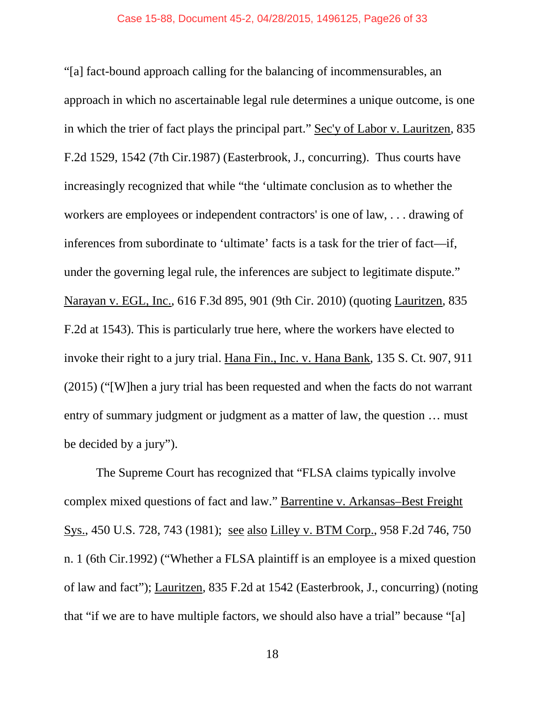"[a] fact-bound approach calling for the balancing of incommensurables, an approach in which no ascertainable legal rule determines a unique outcome, is one in which the trier of fact plays the principal part." Sec'y of Labor v. Lauritzen, 835 F.2d 1529, 1542 (7th Cir.1987) (Easterbrook, J., concurring). Thus courts have increasingly recognized that while "the 'ultimate conclusion as to whether the workers are employees or independent contractors' is one of law, . . . drawing of inferences from subordinate to 'ultimate' facts is a task for the trier of fact—if, under the governing legal rule, the inferences are subject to legitimate dispute." Narayan v. EGL, Inc., 616 F.3d 895, 901 (9th Cir. 2010) (quoting Lauritzen, 835 F.2d at 1543). This is particularly true here, where the workers have elected to invoke their right to a jury trial. Hana Fin., Inc. v. Hana Bank, 135 S. Ct. 907, 911 (2015) ("[W]hen a jury trial has been requested and when the facts do not warrant entry of summary judgment or judgment as a matter of law, the question … must be decided by a jury").

The Supreme Court has recognized that "FLSA claims typically involve complex mixed questions of fact and law." Barrentine v. Arkansas–Best Freight Sys., 450 U.S. 728, 743 (1981); see also Lilley v. BTM Corp., 958 F.2d 746, 750 n. 1 (6th Cir.1992) ("Whether a FLSA plaintiff is an employee is a mixed question of law and fact"); Lauritzen*,* 835 F.2d at 1542 (Easterbrook, J., concurring) (noting that "if we are to have multiple factors, we should also have a trial" because "[a]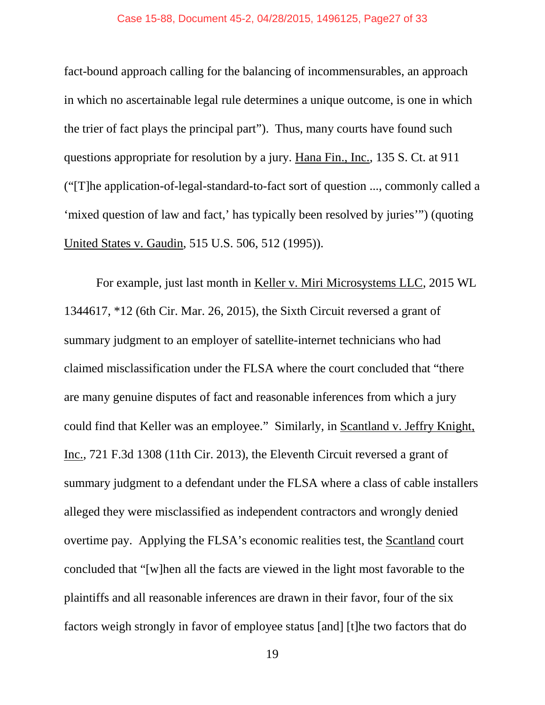fact-bound approach calling for the balancing of incommensurables, an approach in which no ascertainable legal rule determines a unique outcome, is one in which the trier of fact plays the principal part"). Thus, many courts have found such questions appropriate for resolution by a jury. Hana Fin., Inc., 135 S. Ct. at 911 ("[T]he application-of-legal-standard-to-fact sort of question ..., commonly called a 'mixed question of law and fact,' has typically been resolved by juries'") (quoting United States v. Gaudin, 515 U.S. 506, 512 (1995)).

For example, just last month in Keller v. Miri Microsystems LLC, 2015 WL 1344617, \*12 (6th Cir. Mar. 26, 2015), the Sixth Circuit reversed a grant of summary judgment to an employer of satellite-internet technicians who had claimed misclassification under the FLSA where the court concluded that "there are many genuine disputes of fact and reasonable inferences from which a jury could find that Keller was an employee." Similarly, in Scantland v. Jeffry Knight, Inc., 721 F.3d 1308 (11th Cir. 2013), the Eleventh Circuit reversed a grant of summary judgment to a defendant under the FLSA where a class of cable installers alleged they were misclassified as independent contractors and wrongly denied overtime pay. Applying the FLSA's economic realities test, the Scantland court concluded that "[w]hen all the facts are viewed in the light most favorable to the plaintiffs and all reasonable inferences are drawn in their favor, four of the six factors weigh strongly in favor of employee status [and] [t]he two factors that do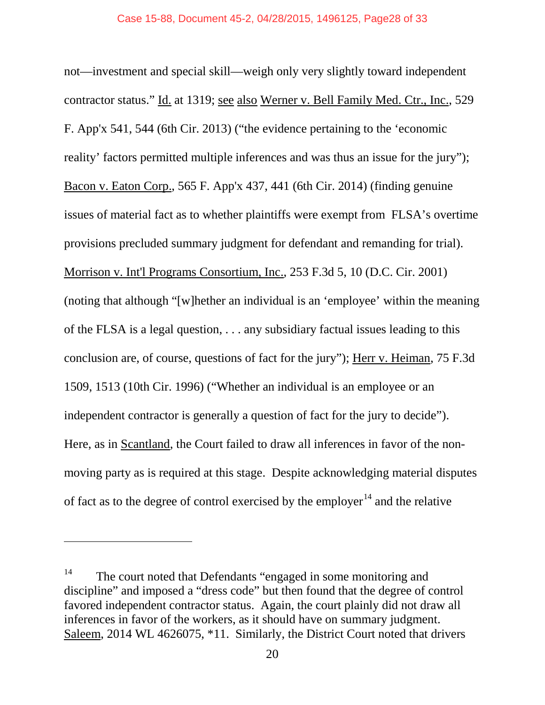not—investment and special skill—weigh only very slightly toward independent contractor status." Id. at 1319; see also Werner v. Bell Family Med. Ctr., Inc., 529 F. App'x 541, 544 (6th Cir. 2013) ("the evidence pertaining to the 'economic reality' factors permitted multiple inferences and was thus an issue for the jury"); Bacon v. Eaton Corp., 565 F. App'x 437, 441 (6th Cir. 2014) (finding genuine issues of material fact as to whether plaintiffs were exempt from FLSA's overtime provisions precluded summary judgment for defendant and remanding for trial). Morrison v. Int'l Programs Consortium, Inc., 253 F.3d 5, 10 (D.C. Cir. 2001) (noting that although "[w]hether an individual is an 'employee' within the meaning of the FLSA is a legal question, . . . any subsidiary factual issues leading to this conclusion are, of course, questions of fact for the jury"); Herr v. Heiman, 75 F.3d 1509, 1513 (10th Cir. 1996) ("Whether an individual is an employee or an independent contractor is generally a question of fact for the jury to decide"). Here, as in Scantland, the Court failed to draw all inferences in favor of the nonmoving party as is required at this stage. Despite acknowledging material disputes of fact as to the degree of control exercised by the employer<sup>[14](#page-27-0)</sup> and the relative

<span id="page-27-0"></span><sup>&</sup>lt;sup>14</sup> The court noted that Defendants "engaged in some monitoring and discipline" and imposed a "dress code" but then found that the degree of control favored independent contractor status. Again, the court plainly did not draw all inferences in favor of the workers, as it should have on summary judgment. Saleem, 2014 WL 4626075, \*11. Similarly, the District Court noted that drivers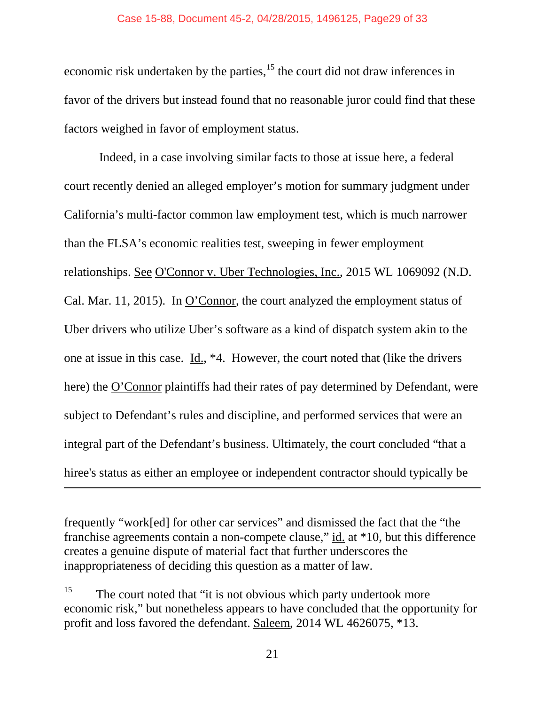economic risk undertaken by the parties, $15$  the court did not draw inferences in favor of the drivers but instead found that no reasonable juror could find that these factors weighed in favor of employment status.

Indeed, in a case involving similar facts to those at issue here, a federal court recently denied an alleged employer's motion for summary judgment under California's multi-factor common law employment test, which is much narrower than the FLSA's economic realities test, sweeping in fewer employment relationships. See O'Connor v. Uber Technologies, Inc., 2015 WL 1069092 (N.D. Cal. Mar. 11, 2015). In O'Connor, the court analyzed the employment status of Uber drivers who utilize Uber's software as a kind of dispatch system akin to the one at issue in this case. Id., \*4. However, the court noted that (like the drivers here) the O'Connor plaintiffs had their rates of pay determined by Defendant, were subject to Defendant's rules and discipline, and performed services that were an integral part of the Defendant's business. Ultimately, the court concluded "that a hiree's status as either an employee or independent contractor should typically be

frequently "work[ed] for other car services" and dismissed the fact that the "the franchise agreements contain a non-compete clause," id. at \*10, but this difference creates a genuine dispute of material fact that further underscores the inappropriateness of deciding this question as a matter of law.

 $\overline{\phantom{a}}$ 

<span id="page-28-0"></span> $15$  The court noted that "it is not obvious which party undertook more economic risk," but nonetheless appears to have concluded that the opportunity for profit and loss favored the defendant. Saleem, 2014 WL 4626075, \*13.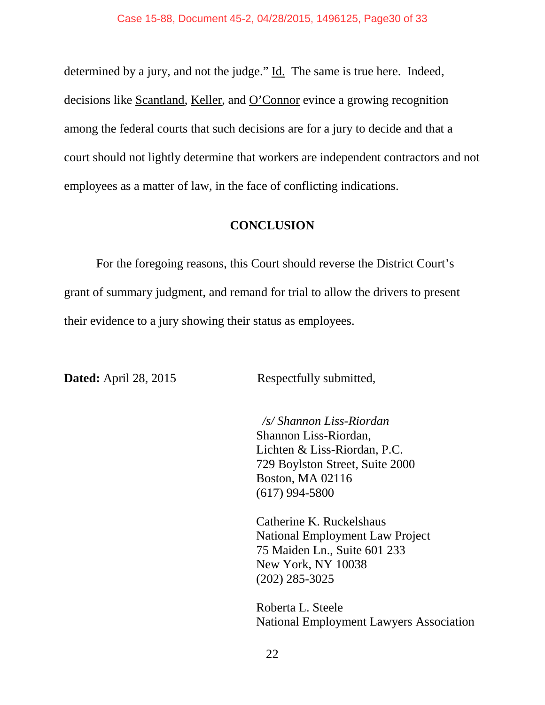determined by a jury, and not the judge." Id. The same is true here. Indeed, decisions like Scantland, Keller, and O'Connor evince a growing recognition among the federal courts that such decisions are for a jury to decide and that a court should not lightly determine that workers are independent contractors and not employees as a matter of law, in the face of conflicting indications.

#### **CONCLUSION**

<span id="page-29-0"></span>For the foregoing reasons, this Court should reverse the District Court's grant of summary judgment, and remand for trial to allow the drivers to present their evidence to a jury showing their status as employees.

**Dated:** April 28, 2015 Respectfully submitted,

*/s/ Shannon Liss-Riordan*

Shannon Liss-Riordan, Lichten & Liss-Riordan, P.C. 729 Boylston Street, Suite 2000 Boston, MA 02116 (617) 994-5800

Catherine K. Ruckelshaus National Employment Law Project 75 Maiden Ln., Suite 601 233 New York, NY 10038 (202) 285-3025

Roberta L. Steele National Employment Lawyers Association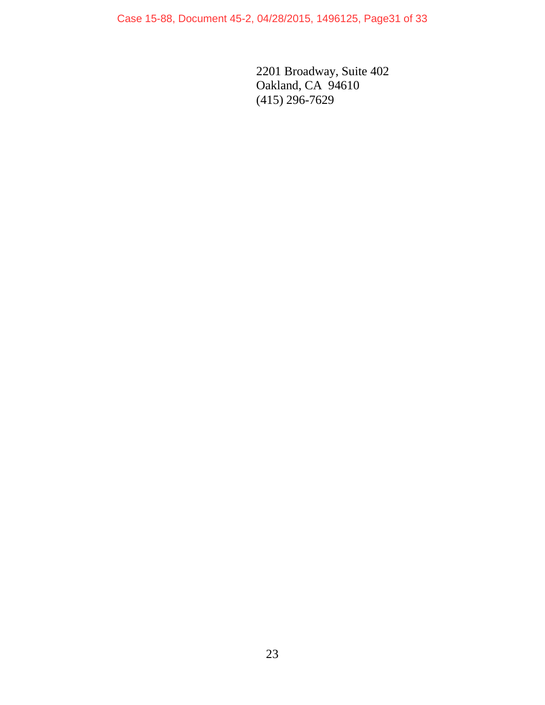Case 15-88, Document 45-2, 04/28/2015, 1496125, Page31 of 33

2201 Broadway, Suite 402 Oakland, CA 94610 (415) 296-7629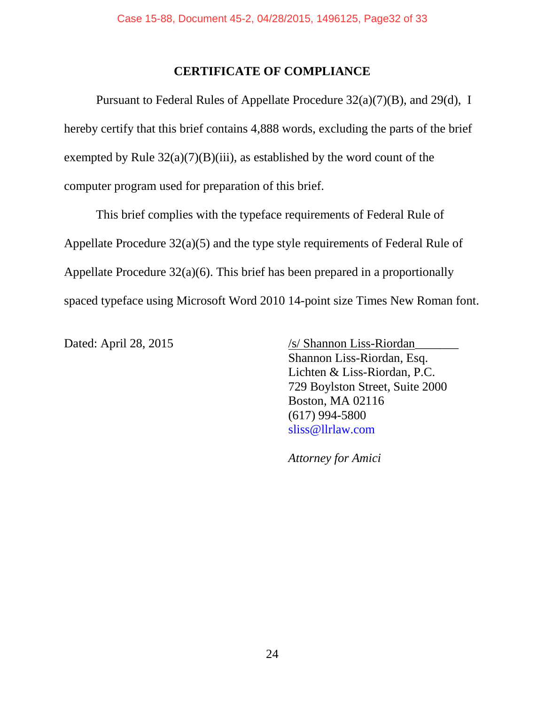## **CERTIFICATE OF COMPLIANCE**

Pursuant to Federal Rules of Appellate Procedure 32(a)(7)(B), and 29(d), I hereby certify that this brief contains 4,888 words, excluding the parts of the brief exempted by Rule  $32(a)(7)(B)(iii)$ , as established by the word count of the computer program used for preparation of this brief.

This brief complies with the typeface requirements of Federal Rule of Appellate Procedure 32(a)(5) and the type style requirements of Federal Rule of Appellate Procedure 32(a)(6). This brief has been prepared in a proportionally spaced typeface using Microsoft Word 2010 14-point size Times New Roman font.

Dated: April 28, 2015 /s/ Shannon Liss-Riordan Shannon Liss-Riordan, Esq. Lichten & Liss-Riordan, P.C. 729 Boylston Street, Suite 2000 Boston, MA 02116 (617) 994-5800 sliss@llrlaw.com

*Attorney for Amici*